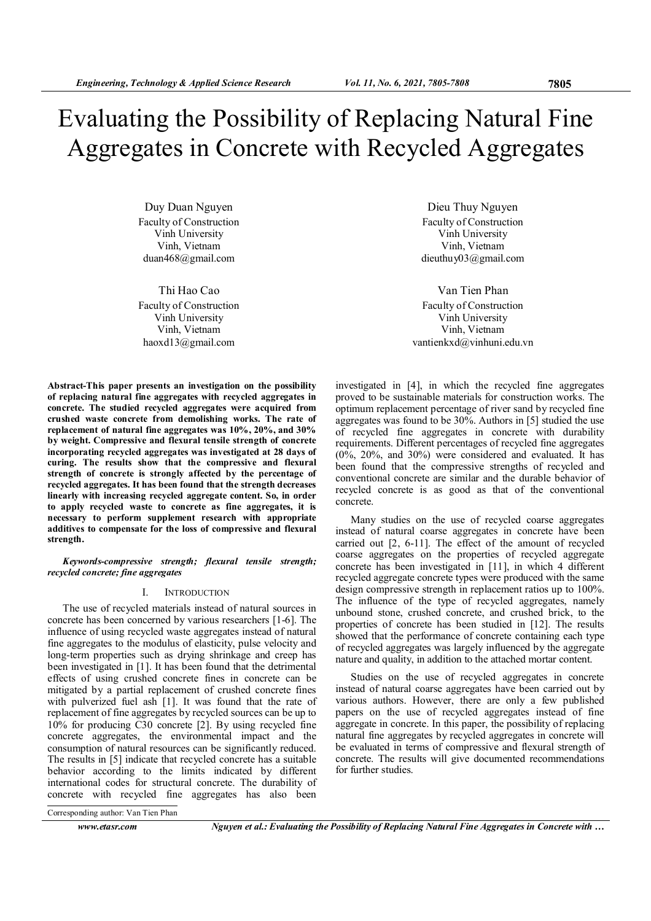Duy Duan Nguyen Faculty of Construction Vinh University Vinh, Vietnam duan468@gmail.com

Thi Hao Cao Faculty of Construction Vinh University Vinh, Vietnam haoxd13@gmail.com

Abstract-This paper presents an investigation on the possibility of replacing natural fine aggregates with recycled aggregates in concrete. The studied recycled aggregates were acquired from crushed waste concrete from demolishing works. The rate of replacement of natural fine aggregates was 10%, 20%, and 30% by weight. Compressive and flexural tensile strength of concrete incorporating recycled aggregates was investigated at 28 days of curing. The results show that the compressive and flexural strength of concrete is strongly affected by the percentage of recycled aggregates. It has been found that the strength decreases linearly with increasing recycled aggregate content. So, in order to apply recycled waste to concrete as fine aggregates, it is necessary to perform supplement research with appropriate additives to compensate for the loss of compressive and flexural strength.

Keywords-compressive strength; flexural tensile strength; recycled concrete; fine aggregates

### I. INTRODUCTION

The use of recycled materials instead of natural sources in concrete has been concerned by various researchers [1-6]. The influence of using recycled waste aggregates instead of natural fine aggregates to the modulus of elasticity, pulse velocity and long-term properties such as drying shrinkage and creep has been investigated in [1]. It has been found that the detrimental effects of using crushed concrete fines in concrete can be mitigated by a partial replacement of crushed concrete fines with pulverized fuel ash [1]. It was found that the rate of replacement of fine aggregates by recycled sources can be up to 10% for producing C30 concrete [2]. By using recycled fine concrete aggregates, the environmental impact and the consumption of natural resources can be significantly reduced. The results in [5] indicate that recycled concrete has a suitable behavior according to the limits indicated by different international codes for structural concrete. The durability of concrete with recycled fine aggregates has also been

Dieu Thuy Nguyen Faculty of Construction Vinh University Vinh, Vietnam dieuthuy03@gmail.com

Van Tien Phan Faculty of Construction Vinh University Vinh, Vietnam vantienkxd@vinhuni.edu.vn

investigated in [4], in which the recycled fine aggregates proved to be sustainable materials for construction works. The optimum replacement percentage of river sand by recycled fine aggregates was found to be 30%. Authors in [5] studied the use of recycled fine aggregates in concrete with durability requirements. Different percentages of recycled fine aggregates (0%, 20%, and 30%) were considered and evaluated. It has been found that the compressive strengths of recycled and conventional concrete are similar and the durable behavior of recycled concrete is as good as that of the conventional concrete.

Many studies on the use of recycled coarse aggregates instead of natural coarse aggregates in concrete have been carried out [2, 6-11]. The effect of the amount of recycled coarse aggregates on the properties of recycled aggregate concrete has been investigated in [11], in which 4 different recycled aggregate concrete types were produced with the same design compressive strength in replacement ratios up to 100%. The influence of the type of recycled aggregates, namely unbound stone, crushed concrete, and crushed brick, to the properties of concrete has been studied in [12]. The results showed that the performance of concrete containing each type of recycled aggregates was largely influenced by the aggregate nature and quality, in addition to the attached mortar content.

Studies on the use of recycled aggregates in concrete instead of natural coarse aggregates have been carried out by various authors. However, there are only a few published papers on the use of recycled aggregates instead of fine aggregate in concrete. In this paper, the possibility of replacing natural fine aggregates by recycled aggregates in concrete will be evaluated in terms of compressive and flexural strength of concrete. The results will give documented recommendations for further studies.

Corresponding author: Van Tien Phan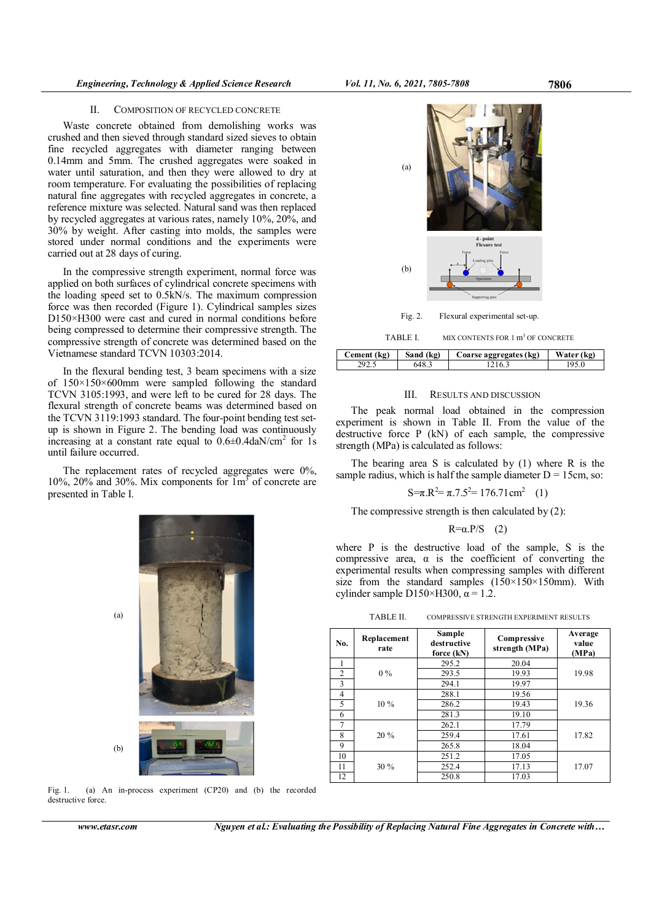# II. COMPOSITION OF RECYCLED CONCRETE

Waste concrete obtained from demolishing works was crushed and then sieved through standard sized sieves to obtain fine recycled aggregates with diameter ranging between 0.14mm and 5mm. The crushed aggregates were soaked in water until saturation, and then they were allowed to dry at room temperature. For evaluating the possibilities of replacing natural fine aggregates with recycled aggregates in concrete, a reference mixture was selected. Natural sand was then replaced by recycled aggregates at various rates, namely 10%, 20%, and 30% by weight. After casting into molds, the samples were stored under normal conditions and the experiments were carried out at 28 days of curing.

In the compressive strength experiment, normal force was applied on both surfaces of cylindrical concrete specimens with the loading speed set to 0.5kN/s. The maximum compression force was then recorded (Figure 1). Cylindrical samples sizes D150×H300 were cast and cured in normal conditions before being compressed to determine their compressive strength. The compressive strength of concrete was determined based on the Vietnamese standard TCVN 10303:2014.

In the flexural bending test, 3 beam specimens with a size of 150×150×600mm were sampled following the standard TCVN 3105:1993, and were left to be cured for 28 days. The flexural strength of concrete beams was determined based on the TCVN 3119:1993 standard. The four-point bending test setup is shown in Figure 2. The bending load was continuously increasing at a constant rate equal to  $0.6\pm0.4$ daN/cm<sup>2</sup> for 1s until failure occurred.

The replacement rates of recycled aggregates were 0%, 10%, 20% and 30%. Mix components for  $\text{Im}^3$  of concrete are presented in Table I.



Fig. 1. (a) An in-process experiment (CP20) and (b) the recorded destructive force.

www.etasr.com Nguyen et al.: Evaluating the Possibility of Replacing Natural Fine Aggregates in Concrete with...



Fig. 2. Flexural experimental set-up.

TABLE I. MIX CONTENTS FOR 1 m<sup>3</sup> OF CONCRETE

| Cement (kg) | Sand<br>(kg) | Coarse aggregates (kg) | Water<br>(kg) |
|-------------|--------------|------------------------|---------------|
|             |              |                        |               |

## III. RESULTS AND DISCUSSION

The peak normal load obtained in the compression experiment is shown in Table II. From the value of the destructive force P (kN) of each sample, the compressive strength (MPa) is calculated as follows:

The bearing area S is calculated by (1) where R is the sample radius, which is half the sample diameter  $D = 15$ cm, so:

$$
S = \pi \cdot R^2 = \pi \cdot 7 \cdot 5^2 = 176.71 \, \text{cm}^2 \quad (1)
$$

The compressive strength is then calculated by (2):

## $R=a.P/S$  (2)

where P is the destructive load of the sample, S is the compressive area,  $\alpha$  is the coefficient of converting the experimental results when compressing samples with different size from the standard samples  $(150\times150\times150)$ mm). With cylinder sample D150×H300,  $\alpha$  = 1.2.

TABLE II. COMPRESSIVE STRENGTH EXPERIMENT RESULTS

| No.            | Replacement<br>rate | Sample<br>destructive<br>force (kN) | Compressive<br>strength (MPa) | Average<br>value<br>(MPa) |
|----------------|---------------------|-------------------------------------|-------------------------------|---------------------------|
|                |                     | 295.2                               | 20.04                         |                           |
| $\overline{c}$ | $0\%$               | 293.5                               | 19.93                         | 19.98                     |
| 3              |                     | 294.1                               | 19.97                         |                           |
| 4              |                     | 288.1                               | 19.56                         |                           |
| 5              | $10\%$              | 286.2                               | 19.43                         | 19.36                     |
| 6              |                     | 281.3                               | 19.10                         |                           |
| 7              |                     | 262.1                               | 17.79                         |                           |
| 8              | $20\%$              | 259.4                               | 17.61                         | 17.82                     |
| 9              |                     | 265.8                               | 18.04                         |                           |
| 10             |                     | 251.2                               | 17.05                         |                           |
| 11             | 30%                 | 252.4                               | 17.13                         | 17.07                     |
| 12             |                     | 250.8                               | 17.03                         |                           |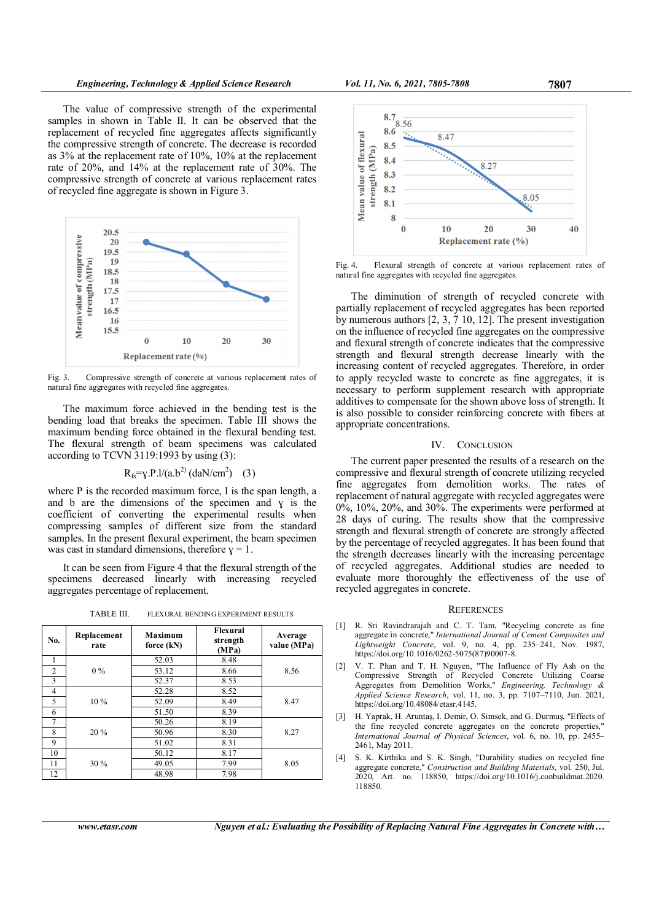The value of compressive strength of the experimental samples in shown in Table II. It can be observed that the replacement of recycled fine aggregates affects significantly the compressive strength of concrete. The decrease is recorded as 3% at the replacement rate of 10%, 10% at the replacement rate of 20%, and 14% at the replacement rate of 30%. The compressive strength of concrete at various replacement rates of recycled fine aggregate is shown in Figure 3.



Fig. 3. Compressive strength of concrete at various replacement rates of natural fine aggregates with recycled fine aggregates.

The maximum force achieved in the bending test is the bending load that breaks the specimen. Table III shows the maximum bending force obtained in the flexural bending test. The flexural strength of beam specimens was calculated according to TCVN 3119:1993 by using (3):

 $R_{fs} = \gamma P l/(a.b^2) (daN/cm^2)$  (3)

where P is the recorded maximum force, I is the span length, a and b are the dimensions of the specimen and  $y$  is the coefficient of converting the experimental results when compressing samples of different size from the standard samples. In the present flexural experiment, the beam specimen was cast in standard dimensions, therefore  $y = 1$ .

It can be seen from Figure 4 that the flexural strength of the specimens decreased linearly with increasing recycled aggregates percentage of replacement.

TABLE III. FLEXURAL BENDING EXPERIMENT RESULTS

| No. | Replacement<br>rate | <b>Maximum</b><br>force $(kN)$ | Flexural<br>strength<br>(MPa) | Average<br>value (MPa) |
|-----|---------------------|--------------------------------|-------------------------------|------------------------|
|     |                     | 52.03                          | 8.48                          |                        |
| 2   | $0\%$               | 53.12                          | 8.66                          | 8.56                   |
| 3   |                     | 52.37                          | 8.53                          |                        |
| 4   |                     | 52.28                          | 8.52                          |                        |
| 5   | $10\%$              | 52.09                          | 8.49                          | 8.47                   |
| 6   |                     | 51.50                          | 8.39                          |                        |
| 7   |                     | 50.26                          | 8.19                          |                        |
| 8   | $20\%$              | 50.96                          | 8.30                          | 8.27                   |
| 9   |                     | 51.02                          | 8.31                          |                        |
| 10  |                     | 50.12                          | 8.17                          |                        |
| 11  | $30\%$              | 49.05                          | 7.99                          | 8.05                   |
| 12  |                     | 48.98                          | 7.98                          |                        |



Fig. 4. Flexural strength of concrete at various replacement rates of natural fine aggregates with recycled fine aggregates.

The diminution of strength of recycled concrete with partially replacement of recycled aggregates has been reported by numerous authors  $[2, 3, 7, 10, 12]$ . The present investigation on the influence of recycled fine aggregates on the compressive and flexural strength of concrete indicates that the compressive strength and flexural strength decrease linearly with the increasing content of recycled aggregates. Therefore, in order to apply recycled waste to concrete as fine aggregates, it is necessary to perform supplement research with appropriate additives to compensate for the shown above loss of strength. It is also possible to consider reinforcing concrete with fibers at appropriate concentrations.

# IV. CONCLUSION

The current paper presented the results of a research on the compressive and flexural strength of concrete utilizing recycled fine aggregates from demolition works. The rates of replacement of natural aggregate with recycled aggregates were 0%, 10%, 20%, and 30%. The experiments were performed at 28 days of curing. The results show that the compressive strength and flexural strength of concrete are strongly affected by the percentage of recycled aggregates. It has been found that the strength decreases linearly with the increasing percentage of recycled aggregates. Additional studies are needed to evaluate more thoroughly the effectiveness of the use of recycled aggregates in concrete.

#### **REFERENCES**

- [1] R. Sri Ravindrarajah and C. T. Tam, "Recycling concrete as fine aggregate in concrete," International Journal of Cement Composites and Lightweight Concrete, vol. 9, no. 4, pp. 235–241, Nov. 1987, https://doi.org/10.1016/0262-5075(87)90007-8.
- [2] V. T. Phan and T. H. Nguyen, "The Influence of Fly Ash on the Compressive Strength of Recycled Concrete Utilizing Coarse Aggregates from Demolition Works," Engineering, Technology & Applied Science Research, vol. 11, no. 3, pp. 7107–7110, Jun. 2021, https://doi.org/10.48084/etasr.4145.
- [3] H. Yaprak, H. Aruntaş, I. Demir, O. Simsek, and G. Durmuş, "Effects of the fine recycled concrete aggregates on the concrete properties," International Journal of Physical Sciences, vol. 6, no. 10, pp. 2455– 2461, May 2011.
- S. K. Kirthika and S. K. Singh, "Durability studies on recycled fine aggregate concrete," Construction and Building Materials, vol. 250, Jul. 2020, Art. no. 118850, https://doi.org/10.1016/j.conbuildmat.2020. 118850.